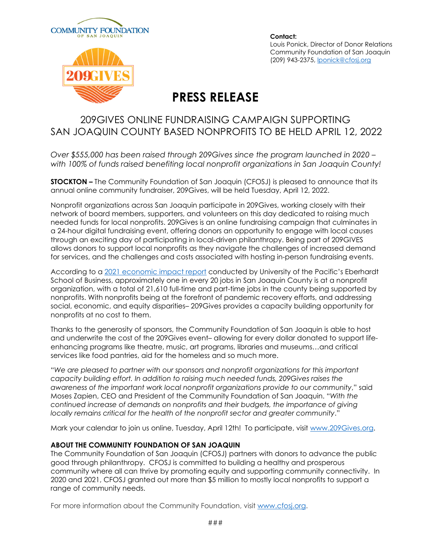



**Contact:**  Louis Ponick, Director of Donor Relations Community Foundation of San Joaquin (209) 943-2375, lponick@cfosj.org

#### **PRESS RELEASE**

#### 209GIVES ONLINE FUNDRAISING CAMPAIGN SUPPORTING SAN JOAQUIN COUNTY BASED NONPROFITS TO BE HELD APRIL 12, 2022

*Over \$555,000 has been raised through 209Gives since the program launched in 2020 – with 100% of funds raised benefiting local nonprofit organizations in San Joaquin County!*

**STOCKTON –** The Community Foundation of San Joaquin (CFOSJ) is pleased to announce that its annual online community fundraiser, 209Gives, will be held Tuesday, April 12, 2022.

Nonprofit organizations across San Joaquin participate in 209Gives, working closely with their network of board members, supporters, and volunteers on this day dedicated to raising much needed funds for local nonprofits. 209Gives is an online fundraising campaign that culminates in a 24-hour digital fundraising event, offering donors an opportunity to engage with local causes through an exciting day of participating in local-driven philanthropy. Being part of 209GIVES allows donors to support local nonprofits as they navigate the challenges of increased demand for services, and the challenges and costs associated with hosting in-person fundraising events.

According to a 2021 economic impact report conducted by University of the Pacific's Eberhardt School of Business, approximately one in every 20 jobs in San Joaquin County is at a nonprofit organization, with a total of 21,610 full-time and part-time jobs in the county being supported by nonprofits. With nonprofits being at the forefront of pandemic recovery efforts, and addressing social, economic, and equity disparities– 209Gives provides a capacity building opportunity for nonprofits at no cost to them.

Thanks to the generosity of sponsors, the Community Foundation of San Joaquin is able to host and underwrite the cost of the 209Gives event– allowing for every dollar donated to support lifeenhancing programs like theatre, music, art programs, libraries and museums…and critical services like food pantries, aid for the homeless and so much more.

"*We are pleased to partner with our sponsors and nonprofit organizations for this important capacity building effort. In addition to raising much needed funds, 209Gives raises the awareness of the important work local nonprofit organizations provide to our community*," said Moses Zapien, CEO and President of the Community Foundation of San Joaquin. "*With the continued increase of demands on nonprofits and their budgets, the importance of giving locally remains critical for the health of the nonprofit sector and greater community*."

Mark your calendar to join us online, Tuesday, April 12th! To participate, visit www.209Gives.org.

#### **ABOUT THE COMMUNITY FOUNDATION OF SAN JOAQUIN**

The Community Foundation of San Joaquin (CFOSJ) partners with donors to advance the public good through philanthropy. CFOSJ is committed to building a healthy and prosperous community where all can thrive by promoting equity and supporting community connectivity. In 2020 and 2021, CFOSJ granted out more than \$5 million to mostly local nonprofits to support a range of community needs.

For more information about the Community Foundation, visit www.cfosj.org.